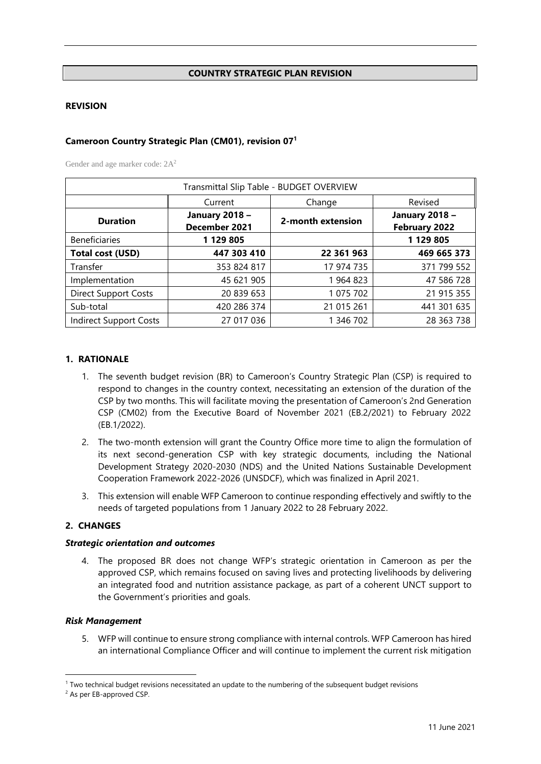#### **COUNTRY STRATEGIC PLAN REVISION**

#### **REVISION**

## **Cameroon Country Strategic Plan (CM01), revision 07<sup>1</sup>**

Gender and age marker code:  $2A<sup>2</sup>$ 

| Transmittal Slip Table - BUDGET OVERVIEW |                                        |                   |             |  |  |  |  |  |
|------------------------------------------|----------------------------------------|-------------------|-------------|--|--|--|--|--|
| Revised<br>Current<br>Change             |                                        |                   |             |  |  |  |  |  |
| <b>Duration</b>                          | <b>January 2018 -</b><br>December 2021 | 2-month extension |             |  |  |  |  |  |
| <b>Beneficiaries</b>                     | 1 129 805                              | 1 129 805         |             |  |  |  |  |  |
| <b>Total cost (USD)</b>                  | 447 303 410                            | 22 361 963        | 469 665 373 |  |  |  |  |  |
| Transfer                                 | 353 824 817                            | 17 974 735        | 371 799 552 |  |  |  |  |  |
| Implementation                           | 45 621 905                             | 1 964 823         | 47 586 728  |  |  |  |  |  |
| <b>Direct Support Costs</b>              | 20 839 653                             | 1 075 702         | 21 915 355  |  |  |  |  |  |
| Sub-total                                | 420 286 374                            | 21 015 261        | 441 301 635 |  |  |  |  |  |
| Indirect Support Costs                   | 27 017 036                             | 1 346 702         | 28 363 738  |  |  |  |  |  |

#### **1. RATIONALE**

- 1. The seventh budget revision (BR) to Cameroon's Country Strategic Plan (CSP) is required to respond to changes in the country context, necessitating an extension of the duration of the CSP by two months. This will facilitate moving the presentation of Cameroon's 2nd Generation CSP (CM02) from the Executive Board of November 2021 (EB.2/2021) to February 2022 (EB.1/2022).
- 2. The two-month extension will grant the Country Office more time to align the formulation of its next second-generation CSP with key strategic documents, including the National Development Strategy 2020-2030 (NDS) and the United Nations Sustainable Development Cooperation Framework 2022-2026 (UNSDCF), which was finalized in April 2021.
- 3. This extension will enable WFP Cameroon to continue responding effectively and swiftly to the needs of targeted populations from 1 January 2022 to 28 February 2022.

#### **2. CHANGES**

#### *Strategic orientation and outcomes*

4. The proposed BR does not change WFP's strategic orientation in Cameroon as per the approved CSP, which remains focused on saving lives and protecting livelihoods by delivering an integrated food and nutrition assistance package, as part of a coherent UNCT support to the Government's priorities and goals.

#### *Risk Management*

5. WFP will continue to ensure strong compliance with internal controls. WFP Cameroon has hired an international Compliance Officer and will continue to implement the current risk mitigation

<sup>&</sup>lt;sup>1</sup> Two technical budget revisions necessitated an update to the numbering of the subsequent budget revisions

<sup>2</sup> As per EB-approved CSP.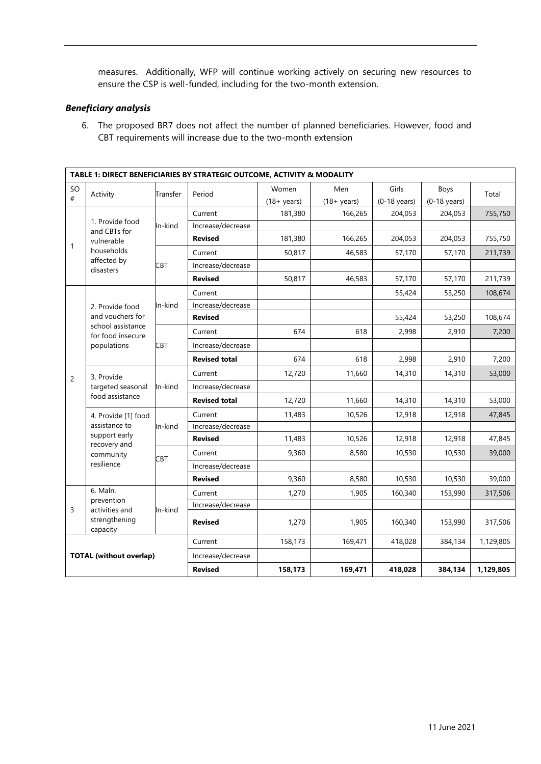measures. Additionally, WFP will continue working actively on securing new resources to ensure the CSP is well-funded, including for the two-month extension.

## *Beneficiary analysis*

6. The proposed BR7 does not affect the number of planned beneficiaries. However, food and CBT requirements will increase due to the two-month extension

|                           | TABLE 1: DIRECT BENEFICIARIES BY STRATEGIC OUTCOME, ACTIVITY & MODALITY |                |                                                                                                                                                                                                                                                                                                                                                                                                                                                                                                                                                                                                                                                                                                                                                                                                                                                                                                                                                                                                                           |                       |                       |                |                        |           |  |  |  |
|---------------------------|-------------------------------------------------------------------------|----------------|---------------------------------------------------------------------------------------------------------------------------------------------------------------------------------------------------------------------------------------------------------------------------------------------------------------------------------------------------------------------------------------------------------------------------------------------------------------------------------------------------------------------------------------------------------------------------------------------------------------------------------------------------------------------------------------------------------------------------------------------------------------------------------------------------------------------------------------------------------------------------------------------------------------------------------------------------------------------------------------------------------------------------|-----------------------|-----------------------|----------------|------------------------|-----------|--|--|--|
| SO                        | Activity<br>#                                                           | Transfer       |                                                                                                                                                                                                                                                                                                                                                                                                                                                                                                                                                                                                                                                                                                                                                                                                                                                                                                                                                                                                                           | Women                 | Men                   | Girls          | Boys                   | Total     |  |  |  |
|                           |                                                                         |                |                                                                                                                                                                                                                                                                                                                                                                                                                                                                                                                                                                                                                                                                                                                                                                                                                                                                                                                                                                                                                           | $(18 + \text{years})$ | $(18 + \text{years})$ | $(0-18$ years) | $(0-18 \text{ years})$ |           |  |  |  |
|                           |                                                                         |                | Current                                                                                                                                                                                                                                                                                                                                                                                                                                                                                                                                                                                                                                                                                                                                                                                                                                                                                                                                                                                                                   | 181,380               | 166,265               | 204,053        | 204,053                | 755,750   |  |  |  |
|                           | 1. Provide food<br>and CBTs for                                         | In-kind        | Increase/decrease                                                                                                                                                                                                                                                                                                                                                                                                                                                                                                                                                                                                                                                                                                                                                                                                                                                                                                                                                                                                         |                       |                       |                |                        |           |  |  |  |
| 1                         | vulnerable                                                              |                | Period<br><b>Revised</b><br>181,380<br>166,265<br>204,053<br>204,053<br>50,817<br>46,583<br>57,170<br>Current<br>57,170<br>Increase/decrease<br>50,817<br><b>Revised</b><br>46,583<br>57,170<br>57,170<br>55,424<br>Current<br>53,250<br>Increase/decrease<br><b>Revised</b><br>55,424<br>53,250<br>618<br>674<br>2,998<br>2,910<br>Current<br>Increase/decrease<br><b>Revised total</b><br>674<br>618<br>2,998<br>2,910<br>12,720<br>11,660<br>Current<br>14,310<br>14,310<br>Increase/decrease<br>12,720<br>14,310<br><b>Revised total</b><br>11,660<br>14,310<br>11,483<br>10,526<br>Current<br>12,918<br>12,918<br>Increase/decrease<br><b>Revised</b><br>11,483<br>10,526<br>12,918<br>12,918<br>9,360<br>8,580<br>Current<br>10,530<br>10,530<br>Increase/decrease<br><b>Revised</b><br>9,360<br>8,580<br>10,530<br>10,530<br>1,270<br>1,905<br>160,340<br>Current<br>153,990<br>Increase/decrease<br>1,270<br>1,905<br>160,340<br>153,990<br><b>Revised</b><br>158,173<br>169,471<br>418,028<br>384,134<br>Current | 755,750               |                       |                |                        |           |  |  |  |
|                           | households                                                              |                |                                                                                                                                                                                                                                                                                                                                                                                                                                                                                                                                                                                                                                                                                                                                                                                                                                                                                                                                                                                                                           |                       |                       |                | 211,739                |           |  |  |  |
|                           | affected by<br>disasters                                                | <b>CBT</b>     |                                                                                                                                                                                                                                                                                                                                                                                                                                                                                                                                                                                                                                                                                                                                                                                                                                                                                                                                                                                                                           |                       |                       |                |                        |           |  |  |  |
|                           |                                                                         |                |                                                                                                                                                                                                                                                                                                                                                                                                                                                                                                                                                                                                                                                                                                                                                                                                                                                                                                                                                                                                                           |                       |                       |                | 384,134                | 211,739   |  |  |  |
|                           |                                                                         |                |                                                                                                                                                                                                                                                                                                                                                                                                                                                                                                                                                                                                                                                                                                                                                                                                                                                                                                                                                                                                                           |                       |                       |                |                        | 108,674   |  |  |  |
| 2. Provide food           | In-kind                                                                 |                |                                                                                                                                                                                                                                                                                                                                                                                                                                                                                                                                                                                                                                                                                                                                                                                                                                                                                                                                                                                                                           |                       |                       |                |                        |           |  |  |  |
|                           | and vouchers for                                                        |                |                                                                                                                                                                                                                                                                                                                                                                                                                                                                                                                                                                                                                                                                                                                                                                                                                                                                                                                                                                                                                           |                       |                       |                |                        | 108,674   |  |  |  |
|                           | school assistance<br>for food insecure                                  | <b>CBT</b>     |                                                                                                                                                                                                                                                                                                                                                                                                                                                                                                                                                                                                                                                                                                                                                                                                                                                                                                                                                                                                                           |                       |                       |                |                        | 7,200     |  |  |  |
|                           | populations                                                             |                |                                                                                                                                                                                                                                                                                                                                                                                                                                                                                                                                                                                                                                                                                                                                                                                                                                                                                                                                                                                                                           |                       |                       |                |                        |           |  |  |  |
|                           |                                                                         |                |                                                                                                                                                                                                                                                                                                                                                                                                                                                                                                                                                                                                                                                                                                                                                                                                                                                                                                                                                                                                                           |                       |                       |                |                        | 7,200     |  |  |  |
| $\overline{2}$            | 3. Provide                                                              | In-kind        |                                                                                                                                                                                                                                                                                                                                                                                                                                                                                                                                                                                                                                                                                                                                                                                                                                                                                                                                                                                                                           |                       |                       |                |                        | 53,000    |  |  |  |
|                           | targeted seasonal                                                       |                |                                                                                                                                                                                                                                                                                                                                                                                                                                                                                                                                                                                                                                                                                                                                                                                                                                                                                                                                                                                                                           |                       |                       |                |                        |           |  |  |  |
| food assistance           |                                                                         |                |                                                                                                                                                                                                                                                                                                                                                                                                                                                                                                                                                                                                                                                                                                                                                                                                                                                                                                                                                                                                                           |                       |                       |                | 53,000                 |           |  |  |  |
|                           | 4. Provide [1] food                                                     |                |                                                                                                                                                                                                                                                                                                                                                                                                                                                                                                                                                                                                                                                                                                                                                                                                                                                                                                                                                                                                                           |                       |                       |                |                        | 47,845    |  |  |  |
| assistance to             | In-kind                                                                 |                |                                                                                                                                                                                                                                                                                                                                                                                                                                                                                                                                                                                                                                                                                                                                                                                                                                                                                                                                                                                                                           |                       |                       |                |                        |           |  |  |  |
|                           | support early<br>recovery and                                           |                |                                                                                                                                                                                                                                                                                                                                                                                                                                                                                                                                                                                                                                                                                                                                                                                                                                                                                                                                                                                                                           |                       |                       |                |                        | 47,845    |  |  |  |
|                           | community                                                               | <b>CBT</b>     |                                                                                                                                                                                                                                                                                                                                                                                                                                                                                                                                                                                                                                                                                                                                                                                                                                                                                                                                                                                                                           |                       |                       |                |                        | 39,000    |  |  |  |
|                           | resilience                                                              |                |                                                                                                                                                                                                                                                                                                                                                                                                                                                                                                                                                                                                                                                                                                                                                                                                                                                                                                                                                                                                                           |                       |                       |                |                        |           |  |  |  |
|                           |                                                                         |                |                                                                                                                                                                                                                                                                                                                                                                                                                                                                                                                                                                                                                                                                                                                                                                                                                                                                                                                                                                                                                           |                       |                       |                |                        | 39,000    |  |  |  |
|                           | 6. Maln.                                                                |                |                                                                                                                                                                                                                                                                                                                                                                                                                                                                                                                                                                                                                                                                                                                                                                                                                                                                                                                                                                                                                           |                       |                       |                |                        | 317,506   |  |  |  |
| 3                         | prevention<br>activities and                                            | In-kind        |                                                                                                                                                                                                                                                                                                                                                                                                                                                                                                                                                                                                                                                                                                                                                                                                                                                                                                                                                                                                                           |                       |                       |                |                        |           |  |  |  |
| strengthening<br>capacity |                                                                         |                |                                                                                                                                                                                                                                                                                                                                                                                                                                                                                                                                                                                                                                                                                                                                                                                                                                                                                                                                                                                                                           |                       |                       |                | 317,506                |           |  |  |  |
|                           |                                                                         |                |                                                                                                                                                                                                                                                                                                                                                                                                                                                                                                                                                                                                                                                                                                                                                                                                                                                                                                                                                                                                                           |                       |                       |                |                        | 1,129,805 |  |  |  |
|                           | <b>TOTAL (without overlap)</b>                                          |                | Increase/decrease                                                                                                                                                                                                                                                                                                                                                                                                                                                                                                                                                                                                                                                                                                                                                                                                                                                                                                                                                                                                         |                       |                       |                |                        |           |  |  |  |
|                           |                                                                         | <b>Revised</b> | 158,173                                                                                                                                                                                                                                                                                                                                                                                                                                                                                                                                                                                                                                                                                                                                                                                                                                                                                                                                                                                                                   | 169,471               | 418,028               |                | 1,129,805              |           |  |  |  |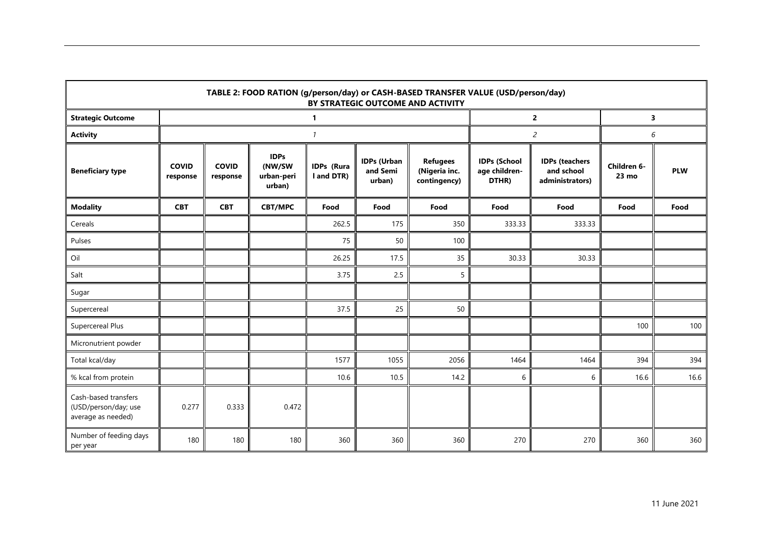| TABLE 2: FOOD RATION (g/person/day) or CASH-BASED TRANSFER VALUE (USD/person/day)<br>BY STRATEGIC OUTCOME AND ACTIVITY |                          |                          |                                               |                          |                                          |                                                  |                                               |                                                        |                                |            |
|------------------------------------------------------------------------------------------------------------------------|--------------------------|--------------------------|-----------------------------------------------|--------------------------|------------------------------------------|--------------------------------------------------|-----------------------------------------------|--------------------------------------------------------|--------------------------------|------------|
| <b>Strategic Outcome</b>                                                                                               |                          |                          |                                               | $\mathbf{1}$             |                                          |                                                  |                                               | $\overline{2}$                                         |                                | 3          |
| <b>Activity</b>                                                                                                        |                          |                          |                                               | $\mathcal{I}$            |                                          |                                                  |                                               | $\overline{c}$                                         |                                | 6          |
| <b>Beneficiary type</b>                                                                                                | <b>COVID</b><br>response | <b>COVID</b><br>response | <b>IDPs</b><br>(NW/SW<br>urban-peri<br>urban) | IDPs (Rura<br>I and DTR) | <b>IDPs (Urban</b><br>and Semi<br>urban) | <b>Refugees</b><br>(Nigeria inc.<br>contingency) | <b>IDPs (School</b><br>age children-<br>DTHR) | <b>IDPs (teachers</b><br>and school<br>administrators) | Children 6-<br>$23 \text{ mo}$ | <b>PLW</b> |
| <b>Modality</b>                                                                                                        | <b>CBT</b>               | <b>CBT</b>               | <b>CBT/MPC</b>                                | Food                     | Food                                     | Food                                             | Food                                          | Food                                                   | Food                           | Food       |
| Cereals                                                                                                                |                          |                          |                                               | 262.5                    | 175                                      | 350                                              | 333.33                                        | 333.33                                                 |                                |            |
| Pulses                                                                                                                 |                          |                          |                                               | 75                       | 50                                       | 100                                              |                                               |                                                        |                                |            |
| Oil                                                                                                                    |                          |                          |                                               | 26.25                    | 17.5                                     | 35                                               | 30.33                                         | 30.33                                                  |                                |            |
| Salt                                                                                                                   |                          |                          |                                               | 3.75                     | 2.5                                      | 5                                                |                                               |                                                        |                                |            |
| Sugar                                                                                                                  |                          |                          |                                               |                          |                                          |                                                  |                                               |                                                        |                                |            |
| Supercereal                                                                                                            |                          |                          |                                               | 37.5                     | 25                                       | 50                                               |                                               |                                                        |                                |            |
| Supercereal Plus                                                                                                       |                          |                          |                                               |                          |                                          |                                                  |                                               |                                                        | 100                            | 100        |
| Micronutrient powder                                                                                                   |                          |                          |                                               |                          |                                          |                                                  |                                               |                                                        |                                |            |
| Total kcal/day                                                                                                         |                          |                          |                                               | 1577                     | 1055                                     | 2056                                             | 1464                                          | 1464                                                   | 394                            | 394        |
| % kcal from protein                                                                                                    |                          |                          |                                               | 10.6                     | 10.5                                     | 14.2                                             | 6                                             | 6                                                      | 16.6                           | 16.6       |
| Cash-based transfers<br>(USD/person/day; use<br>average as needed)                                                     | 0.277                    | 0.333                    | 0.472                                         |                          |                                          |                                                  |                                               |                                                        |                                |            |
| Number of feeding days<br>per year                                                                                     | 180                      | 180                      | 180                                           | 360                      | 360                                      | 360                                              | 270                                           | 270                                                    | 360                            | 360        |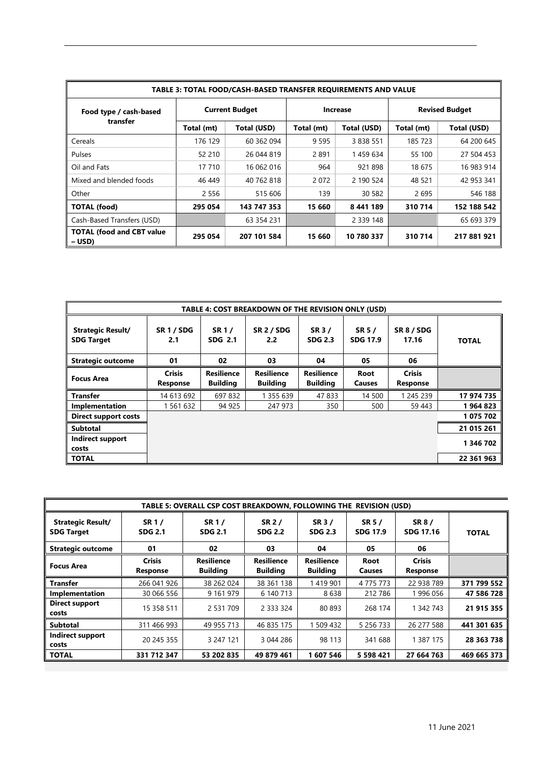| TABLE 3: TOTAL FOOD/CASH-BASED TRANSFER REQUIREMENTS AND VALUE |                       |             |            |                 |                       |             |  |  |  |
|----------------------------------------------------------------|-----------------------|-------------|------------|-----------------|-----------------------|-------------|--|--|--|
| Food type / cash-based<br>transfer                             | <b>Current Budget</b> |             |            | <b>Increase</b> | <b>Revised Budget</b> |             |  |  |  |
|                                                                | Total (mt)            | Total (USD) | Total (mt) | Total (USD)     | Total (mt)            | Total (USD) |  |  |  |
| Cereals                                                        | 176 129               | 60 362 094  | 9 5 9 5    | 3 8 3 8 5 5 1   | 185 723               | 64 200 645  |  |  |  |
| Pulses                                                         | 52 210                | 26 044 819  | 2891       | 1459634         | 55 100                | 27 504 453  |  |  |  |
| Oil and Fats                                                   | 17 710                | 16 062 016  | 964        | 921898          | 18 675                | 16 983 914  |  |  |  |
| Mixed and blended foods                                        | 46 449                | 40 762 818  | 2072       | 2 190 524       | 48 5 21               | 42 953 341  |  |  |  |
| Other                                                          | 2 5 5 6               | 515 606     | 139        | 30 582          | 2695                  | 546 188     |  |  |  |
| <b>TOTAL (food)</b>                                            | 295 054               | 143 747 353 | 15 660     | 8441189         | 310714                | 152 188 542 |  |  |  |
| Cash-Based Transfers (USD)                                     |                       | 63 354 231  |            | 2 3 3 9 1 4 8   |                       | 65 693 379  |  |  |  |
| <b>TOTAL (food and CBT value</b><br>– USD)                     | 295 054               | 207 101 584 | 15 660     | 10780337        | 310714                | 217 881 921 |  |  |  |

| TABLE 4: COST BREAKDOWN OF THE REVISION ONLY (USD) |                           |                                      |                                      |                                      |                           |                           |              |  |  |
|----------------------------------------------------|---------------------------|--------------------------------------|--------------------------------------|--------------------------------------|---------------------------|---------------------------|--------------|--|--|
| <b>Strategic Result/</b><br><b>SDG Target</b>      | <b>SR 1 / SDG</b><br>2.1  | <b>SR1/</b><br>SDG 2.1               | <b>SR 2 / SDG</b><br>2.2             | SR 3/<br><b>SDG 2.3</b>              | SR 5 /<br><b>SDG 17.9</b> | SR 8 / SDG<br>17.16       | <b>TOTAL</b> |  |  |
| <b>Strategic outcome</b>                           | 01                        | 02                                   | 03                                   | 04                                   | 05                        | 06                        |              |  |  |
| <b>Focus Area</b>                                  | <b>Crisis</b><br>Response | <b>Resilience</b><br><b>Building</b> | <b>Resilience</b><br><b>Building</b> | <b>Resilience</b><br><b>Building</b> | Root<br><b>Causes</b>     | <b>Crisis</b><br>Response |              |  |  |
| <b>Transfer</b>                                    | 14 613 692                | 697 832                              | 1 355 639                            | 47 833                               | 14 500                    | 1 245 239                 | 17 974 735   |  |  |
| Implementation                                     | 1 561 632                 | 94 925                               | 247 973                              | 350                                  | 500                       | 59 443                    | 1964823      |  |  |
| <b>Direct support costs</b>                        |                           |                                      |                                      |                                      |                           |                           | 1 075 702    |  |  |
| <b>Subtotal</b>                                    |                           |                                      |                                      |                                      |                           |                           | 21 015 261   |  |  |
| Indirect support<br>costs                          |                           |                                      |                                      |                                      |                           |                           | 1 346 702    |  |  |
| <b>TOTAL</b>                                       |                           |                                      |                                      |                                      |                           |                           | 22 361 963   |  |  |

| TABLE 5: OVERALL CSP COST BREAKDOWN, FOLLOWING THE REVISION (USD) |                         |                         |                          |                          |                                  |                     |              |  |  |
|-------------------------------------------------------------------|-------------------------|-------------------------|--------------------------|--------------------------|----------------------------------|---------------------|--------------|--|--|
| <b>Strategic Result/</b><br><b>SDG Target</b>                     | SR 1/<br><b>SDG 2.1</b> | SR 1/<br><b>SDG 2.1</b> | SR 2 /<br><b>SDG 2.2</b> | SR 3 /<br><b>SDG 2.3</b> | <b>SR 5 /</b><br><b>SDG 17.9</b> | SR 8 /<br>SDG 17.16 | <b>TOTAL</b> |  |  |
| <b>Strategic outcome</b>                                          | 01                      | 02                      | 03                       | 04                       | 05                               | 06                  |              |  |  |
| <b>Focus Area</b>                                                 | <b>Crisis</b>           | <b>Resilience</b>       | <b>Resilience</b>        | <b>Resilience</b>        | Root                             | <b>Crisis</b>       |              |  |  |
|                                                                   | Response                | <b>Building</b>         | <b>Building</b>          | <b>Building</b>          | Causes                           | Response            |              |  |  |
| <b>Transfer</b>                                                   | 266 041 926             | 38 262 024              | 38 361 138               | 1419901                  | 4 7 7 5 7 7 3                    | 22 938 789          | 371 799 552  |  |  |
| Implementation                                                    | 30 066 556              | 9 161 979               | 6 140 713                | 8638                     | 212 786                          | 1996056             | 47 586 728   |  |  |
| Direct support<br>costs                                           | 15 358 511              | 2 531 709               | 2 3 3 3 3 2 4            | 80 893                   | 268 174                          | 1 342 743           | 21 915 355   |  |  |
| <b>Subtotal</b>                                                   | 311 466 993             | 49 955 713              | 46 835 175               | 1 509 432                | 5 256 733                        | 26 277 588          | 441 301 635  |  |  |
| Indirect support<br>costs                                         | 20 245 355              | 3 247 121               | 3 044 286                | 98 113                   | 341 688                          | 1 387 175           | 28 363 738   |  |  |
| <b>TOTAL</b>                                                      | 331 712 347             | 53 202 835              | 49 879 461               | 1607546                  | 5 5 9 8 4 2 1                    | 27 664 763          | 469 665 373  |  |  |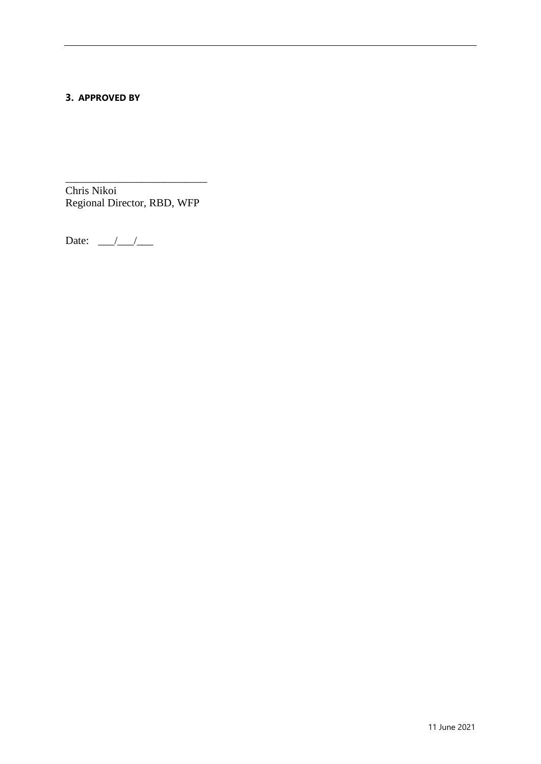# **3. APPROVED BY**

\_\_\_\_\_\_\_\_\_\_\_\_\_\_\_\_\_\_\_\_\_\_\_\_\_\_ Chris Nikoi Regional Director, RBD, WFP

Date:  $\frac{\sqrt{2}}{2}$